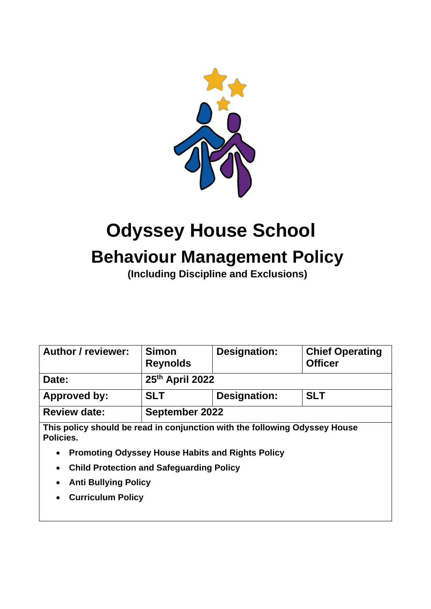

# **Odyssey House School Behaviour Management Policy**

**(Including Discipline and Exclusions)**

| <b>Author / reviewer:</b>                                                               | <b>Simon</b><br><b>Reynolds</b> | Designation: | <b>Chief Operating</b><br><b>Officer</b> |  |
|-----------------------------------------------------------------------------------------|---------------------------------|--------------|------------------------------------------|--|
| Date:                                                                                   | 25th April 2022                 |              |                                          |  |
| <b>Approved by:</b>                                                                     | <b>SLT</b>                      | Designation: | <b>SLT</b>                               |  |
| <b>Review date:</b>                                                                     | September 2022                  |              |                                          |  |
| This policy should be read in conjunction with the following Odyssey House<br>Policies. |                                 |              |                                          |  |
| <b>Promoting Odyssey House Habits and Rights Policy</b><br>$\bullet$                    |                                 |              |                                          |  |
| <b>Child Protection and Safeguarding Policy</b><br>$\bullet$                            |                                 |              |                                          |  |
| <b>Anti Bullying Policy</b><br>$\bullet$                                                |                                 |              |                                          |  |
|                                                                                         | <b>Curriculum Policy</b>        |              |                                          |  |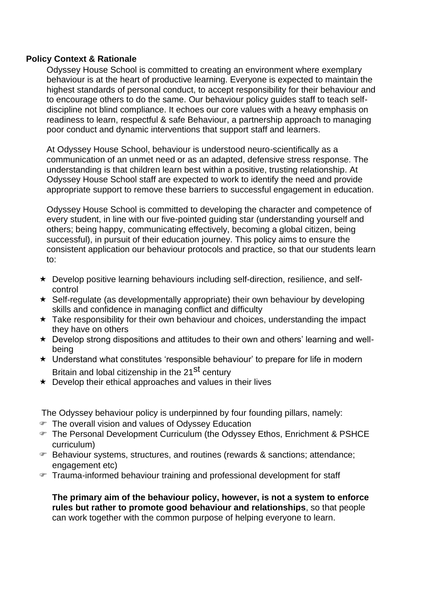#### **Policy Context & Rationale**

Odyssey House School is committed to creating an environment where exemplary behaviour is at the heart of productive learning. Everyone is expected to maintain the highest standards of personal conduct, to accept responsibility for their behaviour and to encourage others to do the same. Our behaviour policy guides staff to teach selfdiscipline not blind compliance. It echoes our core values with a heavy emphasis on readiness to learn, respectful & safe Behaviour, a partnership approach to managing poor conduct and dynamic interventions that support staff and learners.

At Odyssey House School, behaviour is understood neuro-scientifically as a communication of an unmet need or as an adapted, defensive stress response. The understanding is that children learn best within a positive, trusting relationship. At Odyssey House School staff are expected to work to identify the need and provide appropriate support to remove these barriers to successful engagement in education.

Odyssey House School is committed to developing the character and competence of every student, in line with our five-pointed guiding star (understanding yourself and others; being happy, communicating effectively, becoming a global citizen, being successful), in pursuit of their education journey. This policy aims to ensure the consistent application our behaviour protocols and practice, so that our students learn to:

- Develop positive learning behaviours including self-direction, resilience, and selfcontrol
- $\star$  Self-regulate (as developmentally appropriate) their own behaviour by developing skills and confidence in managing conflict and difficulty
- $\star$  Take responsibility for their own behaviour and choices, understanding the impact they have on others
- Develop strong dispositions and attitudes to their own and others' learning and wellbeing
- $\star$  Understand what constitutes 'responsible behaviour' to prepare for life in modern Britain and lobal citizenship in the 21<sup>St</sup> century
- $\star$  Develop their ethical approaches and values in their lives

The Odyssey behaviour policy is underpinned by four founding pillars, namely:

- The overall vision and values of Odyssey Education
- The Personal Development Curriculum (the Odyssey Ethos, Enrichment & PSHCE curriculum)
- Behaviour systems, structures, and routines (rewards & sanctions; attendance; engagement etc)
- Trauma-informed behaviour training and professional development for staff

**The primary aim of the behaviour policy, however, is not a system to enforce rules but rather to promote good behaviour and relationships**, so that people can work together with the common purpose of helping everyone to learn.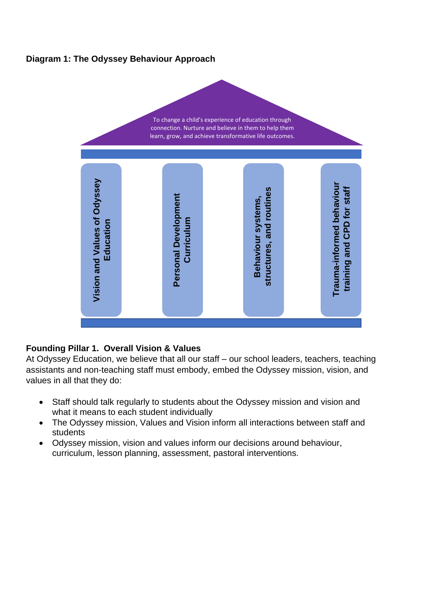# **Diagram 1: The Odyssey Behaviour Approach**

To change a child's experience of education through connection. Nurture and believe in them to help them learn, grow, and achieve transformative life outcomes.



# **Founding Pillar 1. Overall Vision & Values**

At Odyssey Education, we believe that all our staff – our school leaders, teachers, teaching assistants and non-teaching staff must embody, embed the Odyssey mission, vision, and values in all that they do:

- Staff should talk regularly to students about the Odyssey mission and vision and what it means to each student individually
- The Odyssey mission, Values and Vision inform all interactions between staff and students
- Odyssey mission, vision and values inform our decisions around behaviour,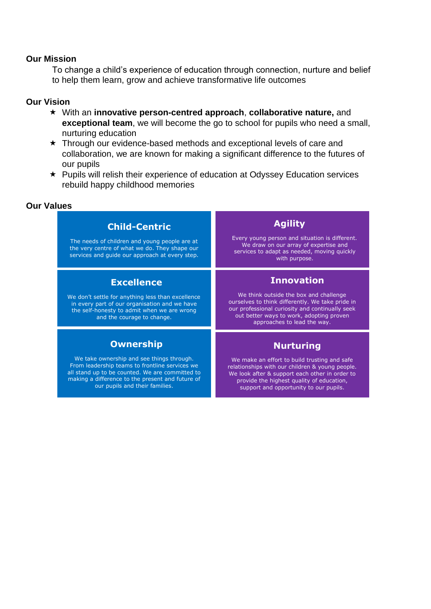#### **Our Mission**

To change a child's experience of education through connection, nurture and belief to help them learn, grow and achieve transformative life outcomes

#### **Our Vision**

- With an **innovative person-centred approach**, **collaborative nature,** and **exceptional team**, we will become the go to school for pupils who need a small, nurturing education
- \* Through our evidence-based methods and exceptional levels of care and collaboration, we are known for making a significant difference to the futures of our pupils
- Pupils will relish their experience of education at Odyssey Education services rebuild happy childhood memories

#### **Our Values**

# **Excellence** We don't settle for anything less than excellence in every part of our organisation and we have the self-honesty to admit when we are wrong and the courage to change. **Child-Centric** The needs of children and young people are at the very centre of what we do. They shape our services and guide our approach at every step. **Ownership**

We take ownership and see things through. From leadership teams to frontline services we all stand up to be counted. We are committed to making a difference to the present and future of our pupils and their families.

**Agility**

Every young person and situation is different. We draw on our array of expertise and services to adapt as needed, moving quickly with purpose.

# **Innovation**

We think outside the box and challenge ourselves to think differently. We take pride in our professional curiosity and continually seek out better ways to work, adopting proven approaches to lead the way.

# **Nurturing**

We make an effort to build trusting and safe relationships with our children & young people. We look after & support each other in order to provide the highest quality of education, support and opportunity to our pupils.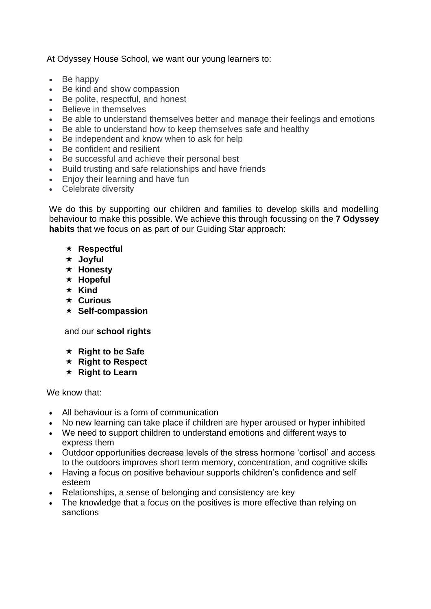At Odyssey House School, we want our young learners to:

- Be happy
- Be kind and show compassion
- Be polite, respectful, and honest
- Believe in themselves
- Be able to understand themselves better and manage their feelings and emotions
- Be able to understand how to keep themselves safe and healthy
- Be independent and know when to ask for help
- Be confident and resilient
- Be successful and achieve their personal best
- Build trusting and safe relationships and have friends
- Enjoy their learning and have fun
- Celebrate diversity

We do this by supporting our children and families to develop skills and modelling behaviour to make this possible. We achieve this through focussing on the **7 Odyssey habits** that we focus on as part of our Guiding Star approach:

- **Respectful**
- **Joyful**
- **Honesty**
- **Hopeful**
- $\star$  Kind
- **Curious**
- **★ Self-compassion**

and our **school rights**

- **★ Right to be Safe**
- **★ Right to Respect**
- **★ Right to Learn**

We know that:

- All behaviour is a form of communication
- No new learning can take place if children are hyper aroused or hyper inhibited
- We need to support children to understand emotions and different ways to express them
- Outdoor opportunities decrease levels of the stress hormone 'cortisol' and access to the outdoors improves short term memory, concentration, and cognitive skills
- Having a focus on positive behaviour supports children's confidence and self esteem
- Relationships, a sense of belonging and consistency are key
- The knowledge that a focus on the positives is more effective than relying on sanctions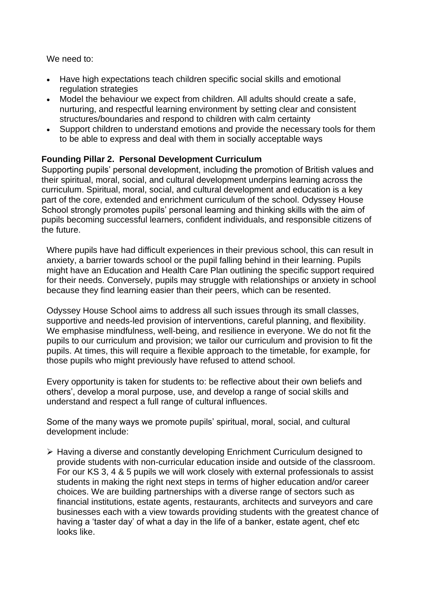We need to:

- Have high expectations teach children specific social skills and emotional regulation strategies
- Model the behaviour we expect from children. All adults should create a safe, nurturing, and respectful learning environment by setting clear and consistent structures/boundaries and respond to children with calm certainty
- Support children to understand emotions and provide the necessary tools for them to be able to express and deal with them in socially acceptable ways

# **Founding Pillar 2. Personal Development Curriculum**

Supporting pupils' personal development, including the promotion of British values and their spiritual, moral, social, and cultural development underpins learning across the curriculum. Spiritual, moral, social, and cultural development and education is a key part of the core, extended and enrichment curriculum of the school. Odyssey House School strongly promotes pupils' personal learning and thinking skills with the aim of pupils becoming successful learners, confident individuals, and responsible citizens of the future.

Where pupils have had difficult experiences in their previous school, this can result in anxiety, a barrier towards school or the pupil falling behind in their learning. Pupils might have an Education and Health Care Plan outlining the specific support required for their needs. Conversely, pupils may struggle with relationships or anxiety in school because they find learning easier than their peers, which can be resented.

Odyssey House School aims to address all such issues through its small classes, supportive and needs-led provision of interventions, careful planning, and flexibility. We emphasise mindfulness, well-being, and resilience in everyone. We do not fit the pupils to our curriculum and provision; we tailor our curriculum and provision to fit the pupils. At times, this will require a flexible approach to the timetable, for example, for those pupils who might previously have refused to attend school.

Every opportunity is taken for students to: be reflective about their own beliefs and others', develop a moral purpose, use, and develop a range of social skills and understand and respect a full range of cultural influences.

Some of the many ways we promote pupils' spiritual, moral, social, and cultural development include:

➢ Having a diverse and constantly developing Enrichment Curriculum designed to provide students with non-curricular education inside and outside of the classroom. For our KS 3, 4 & 5 pupils we will work closely with external professionals to assist students in making the right next steps in terms of higher education and/or career choices. We are building partnerships with a diverse range of sectors such as financial institutions, estate agents, restaurants, architects and surveyors and care businesses each with a view towards providing students with the greatest chance of having a 'taster day' of what a day in the life of a banker, estate agent, chef etc looks like.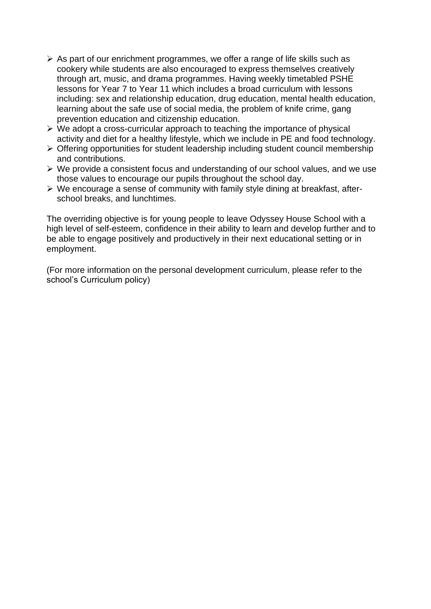- $\triangleright$  As part of our enrichment programmes, we offer a range of life skills such as cookery while students are also encouraged to express themselves creatively through art, music, and drama programmes. Having weekly timetabled PSHE lessons for Year 7 to Year 11 which includes a broad curriculum with lessons including: sex and relationship education, drug education, mental health education, learning about the safe use of social media, the problem of knife crime, gang prevention education and citizenship education.
- ➢ We adopt a cross-curricular approach to teaching the importance of physical activity and diet for a healthy lifestyle, which we include in PE and food technology.
- ➢ Offering opportunities for student leadership including student council membership and contributions.
- ➢ We provide a consistent focus and understanding of our school values, and we use those values to encourage our pupils throughout the school day.
- ➢ We encourage a sense of community with family style dining at breakfast, afterschool breaks, and lunchtimes.

The overriding objective is for young people to leave Odyssey House School with a high level of self-esteem, confidence in their ability to learn and develop further and to be able to engage positively and productively in their next educational setting or in employment.

(For more information on the personal development curriculum, please refer to the school's Curriculum policy)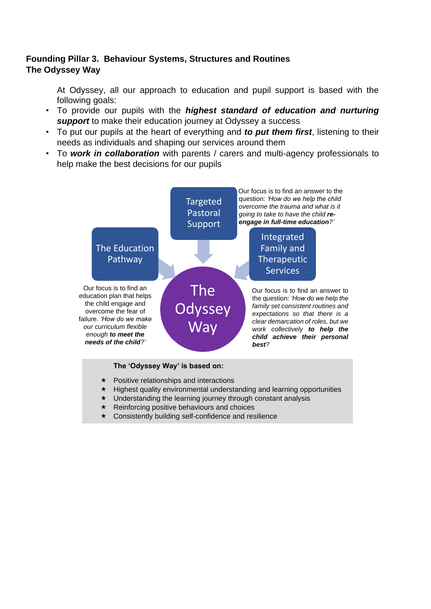# **Founding Pillar 3. Behaviour Systems, Structures and Routines The Odyssey Way**

At Odyssey, all our approach to education and pupil support is based with the following goals:

- To provide our pupils with the *highest standard of education and nurturing support* to make their education journey at Odyssey a success
- To put our pupils at the heart of everything and *to put them first*, listening to their needs as individuals and shaping our services around them
- To *work in collaboration* with parents / carers and multi-agency professionals to help make the best decisions for our pupils



#### **The 'Odyssey Way' is based on:**

- $\star$  Positive relationships and interactions
- $\star$  Highest quality environmental understanding and learning opportunities
- $\star$  Understanding the learning journey through constant analysis
- $\star$  Reinforcing positive behaviours and choices
- $\star$  Consistently building self-confidence and resilience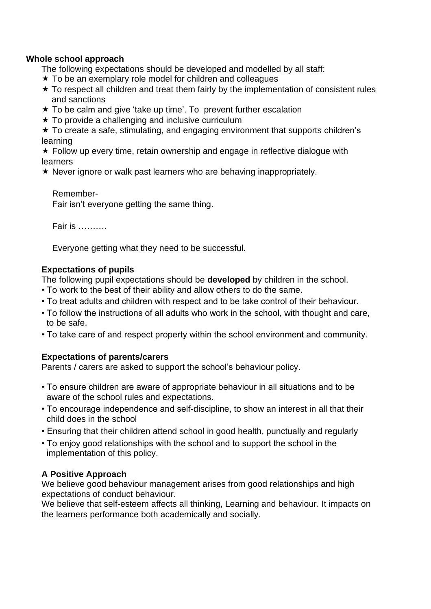#### **Whole school approach**

The following expectations should be developed and modelled by all staff:

- $\star$  To be an exemplary role model for children and colleagues
- $\star$  To respect all children and treat them fairly by the implementation of consistent rules and sanctions
- $\star$  To be calm and give 'take up time'. To prevent further escalation
- $\star$  To provide a challenging and inclusive curriculum

 $\star$  To create a safe, stimulating, and engaging environment that supports children's learning

 $\star$  Follow up every time, retain ownership and engage in reflective dialogue with **learners** 

 $\star$  Never ignore or walk past learners who are behaving inappropriately.

Remember-Fair isn't everyone getting the same thing.

Fair is ……….

Everyone getting what they need to be successful.

# **Expectations of pupils**

The following pupil expectations should be **developed** by children in the school.

- To work to the best of their ability and allow others to do the same.
- To treat adults and children with respect and to be take control of their behaviour.
- To follow the instructions of all adults who work in the school, with thought and care, to be safe.
- To take care of and respect property within the school environment and community.

# **Expectations of parents/carers**

Parents / carers are asked to support the school's behaviour policy.

- To ensure children are aware of appropriate behaviour in all situations and to be aware of the school rules and expectations.
- To encourage independence and self-discipline, to show an interest in all that their child does in the school
- Ensuring that their children attend school in good health, punctually and regularly
- To enjoy good relationships with the school and to support the school in the implementation of this policy.

# **A Positive Approach**

We believe good behaviour management arises from good relationships and high expectations of conduct behaviour.

We believe that self-esteem affects all thinking, Learning and behaviour. It impacts on the learners performance both academically and socially.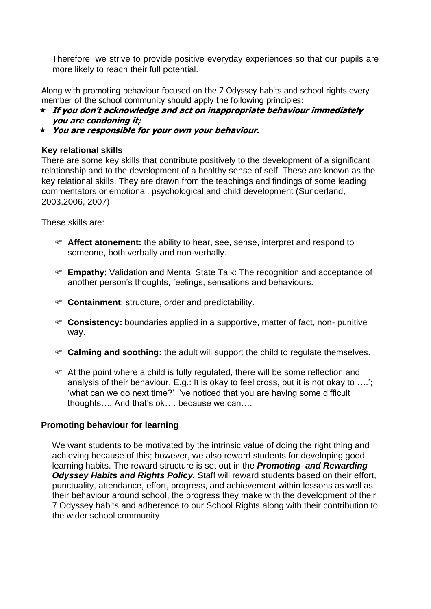Therefore, we strive to provide positive everyday experiences so that our pupils are more likely to reach their full potential.

Along with promoting behaviour focused on the 7 Odyssey habits and school rights every member of the school community should apply the following principles:

- **If you don't acknowledge and act on inappropriate behaviour immediately you are condoning it;**
- **You are responsible for your own your behaviour.**

#### **Key relational skills**

There are some key skills that contribute positively to the development of a significant relationship and to the development of a healthy sense of self. These are known as the key relational skills. They are drawn from the teachings and findings of some leading commentators or emotional, psychological and child development (Sunderland, 2003,2006, 2007)

These skills are:

- **Affect atonement:** the ability to hear, see, sense, interpret and respond to someone, both verbally and non-verbally.
- **Empathy**; Validation and Mental State Talk: The recognition and acceptance of another person's thoughts, feelings, sensations and behaviours.
- **Containment**: structure, order and predictability.
- **Consistency:** boundaries applied in a supportive, matter of fact, non- punitive way.
- **Calming and soothing:** the adult will support the child to regulate themselves.
- At the point where a child is fully regulated, there will be some reflection and analysis of their behaviour. E.g.: It is okay to feel cross, but it is not okay to ….'; 'what can we do next time?' I've noticed that you are having some difficult thoughts…. And that's ok…. because we can….

#### **Promoting behaviour for learning**

We want students to be motivated by the intrinsic value of doing the right thing and achieving because of this; however, we also reward students for developing good learning habits. The reward structure is set out in the *Promoting and Rewarding Odyssey Habits and Rights Policy.* Staff will reward students based on their effort, punctuality, attendance, effort, progress, and achievement within lessons as well as their behaviour around school, the progress they make with the development of their 7 Odyssey habits and adherence to our School Rights along with their contribution to the wider school community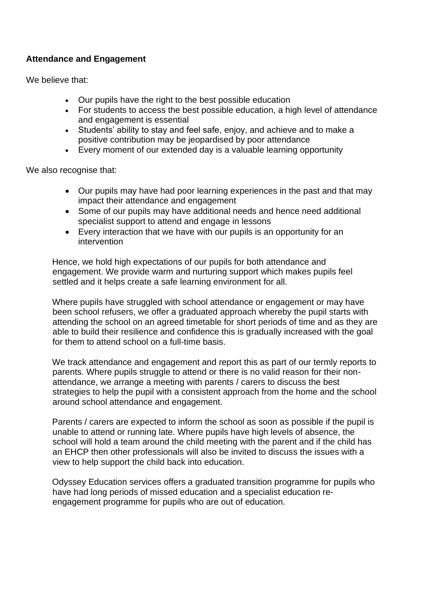# **Attendance and Engagement**

We believe that:

- Our pupils have the right to the best possible education
- For students to access the best possible education, a high level of attendance and engagement is essential
- Students' ability to stay and feel safe, enjoy, and achieve and to make a positive contribution may be jeopardised by poor attendance
- Every moment of our extended day is a valuable learning opportunity

We also recognise that:

- Our pupils may have had poor learning experiences in the past and that may impact their attendance and engagement
- Some of our pupils may have additional needs and hence need additional specialist support to attend and engage in lessons
- Every interaction that we have with our pupils is an opportunity for an intervention

Hence, we hold high expectations of our pupils for both attendance and engagement. We provide warm and nurturing support which makes pupils feel settled and it helps create a safe learning environment for all.

Where pupils have struggled with school attendance or engagement or may have been school refusers, we offer a graduated approach whereby the pupil starts with attending the school on an agreed timetable for short periods of time and as they are able to build their resilience and confidence this is gradually increased with the goal for them to attend school on a full-time basis.

We track attendance and engagement and report this as part of our termly reports to parents. Where pupils struggle to attend or there is no valid reason for their nonattendance, we arrange a meeting with parents / carers to discuss the best strategies to help the pupil with a consistent approach from the home and the school around school attendance and engagement.

Parents / carers are expected to inform the school as soon as possible if the pupil is unable to attend or running late. Where pupils have high levels of absence, the school will hold a team around the child meeting with the parent and if the child has an EHCP then other professionals will also be invited to discuss the issues with a view to help support the child back into education.

Odyssey Education services offers a graduated transition programme for pupils who have had long periods of missed education and a specialist education reengagement programme for pupils who are out of education.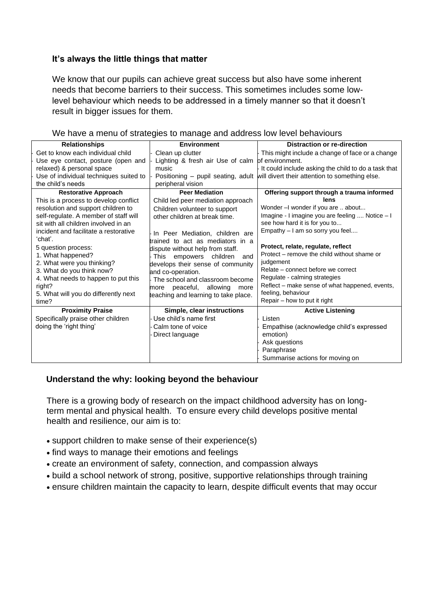# **It's always the little things that matter**

We know that our pupils can achieve great success but also have some inherent needs that become barriers to their success. This sometimes includes some lowlevel behaviour which needs to be addressed in a timely manner so that it doesn't result in bigger issues for them.

| <b>Relationships</b>                   | <b>Environment</b>                               | <b>Distraction or re-direction</b>                                                |
|----------------------------------------|--------------------------------------------------|-----------------------------------------------------------------------------------|
| Get to know each individual child      | Clean up clutter                                 | This might include a change of face or a change                                   |
| Use eye contact, posture (open and     | Lighting & fresh air Use of calm of environment. |                                                                                   |
| relaxed) & personal space              | music                                            | It could include asking the child to do a task that                               |
| Use of individual techniques suited to |                                                  | Positioning – pupil seating, adult will divert their attention to something else. |
| the child's needs                      | peripheral vision                                |                                                                                   |
| <b>Restorative Approach</b>            | <b>Peer Mediation</b>                            | Offering support through a trauma informed                                        |
| This is a process to develop conflict  | Child led peer mediation approach                | lens                                                                              |
| resolution and support children to     | Children volunteer to support                    | Wonder-I wonder if you are  about                                                 |
| self-regulate. A member of staff will  | other children at break time.                    | Imagine - I imagine you are feeling  Notice - I                                   |
| sit with all children involved in an   |                                                  | see how hard it is for you to                                                     |
| incident and facilitate a restorative  | In Peer Mediation, children are                  | Empathy - I am so sorry you feel                                                  |
| ʻchat'.                                | trained to act as mediators in a                 |                                                                                   |
| 5 question process:                    | dispute without help from staff.                 | Protect, relate, regulate, reflect                                                |
| 1. What happened?                      | This empowers children<br>and                    | Protect – remove the child without shame or                                       |
| 2. What were you thinking?             | develops their sense of community                | judgement                                                                         |
| 3. What do you think now?              | and co-operation.                                | Relate – connect before we correct                                                |
| 4. What needs to happen to put this    | The school and classroom become                  | Regulate - calming strategies                                                     |
| right?                                 | more peaceful, allowing<br>more                  | Reflect – make sense of what happened, events,                                    |
| 5. What will you do differently next   | teaching and learning to take place.             | feeling, behaviour                                                                |
| time?                                  |                                                  | Repair – how to put it right                                                      |
| <b>Proximity Praise</b>                | Simple, clear instructions                       | <b>Active Listening</b>                                                           |
| Specifically praise other children     | Use child's name first                           | Listen                                                                            |
| doing the 'right thing'                | Calm tone of voice                               | Empathise (acknowledge child's expressed                                          |
|                                        | Direct language                                  | emotion)                                                                          |
|                                        |                                                  | Ask questions                                                                     |
|                                        |                                                  | Paraphrase                                                                        |
|                                        |                                                  | Summarise actions for moving on                                                   |

We have a menu of strategies to manage and address low level behaviours

#### **Understand the why: looking beyond the behaviour**

There is a growing body of research on the impact childhood adversity has on longterm mental and physical health. To ensure every child develops positive mental health and resilience, our aim is to:

- support children to make sense of their experience(s)
- find ways to manage their emotions and feelings
- create an environment of safety, connection, and compassion always
- build a school network of strong, positive, supportive relationships through training
- ensure children maintain the capacity to learn, despite difficult events that may occur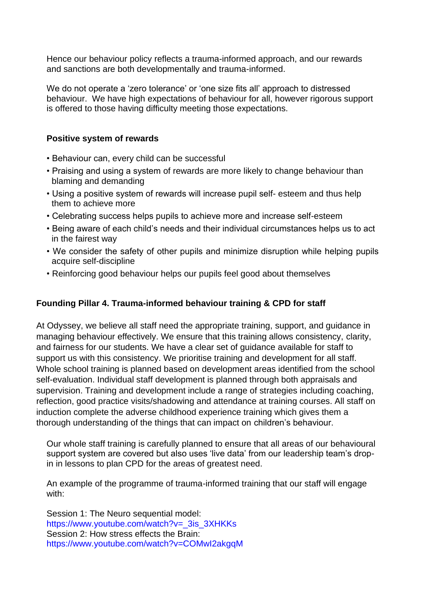Hence our behaviour policy reflects a trauma-informed approach, and our rewards and sanctions are both developmentally and trauma-informed.

We do not operate a 'zero tolerance' or 'one size fits all' approach to distressed behaviour. We have high expectations of behaviour for all, however rigorous support is offered to those having difficulty meeting those expectations.

#### **Positive system of rewards**

- Behaviour can, every child can be successful
- Praising and using a system of rewards are more likely to change behaviour than blaming and demanding
- Using a positive system of rewards will increase pupil self- esteem and thus help them to achieve more
- Celebrating success helps pupils to achieve more and increase self-esteem
- Being aware of each child's needs and their individual circumstances helps us to act in the fairest way
- We consider the safety of other pupils and minimize disruption while helping pupils acquire self-discipline
- Reinforcing good behaviour helps our pupils feel good about themselves

# **Founding Pillar 4. Trauma-informed behaviour training & CPD for staff**

At Odyssey, we believe all staff need the appropriate training, support, and guidance in managing behaviour effectively. We ensure that this training allows consistency, clarity, and fairness for our students. We have a clear set of guidance available for staff to support us with this consistency. We prioritise training and development for all staff. Whole school training is planned based on development areas identified from the school self-evaluation. Individual staff development is planned through both appraisals and supervision. Training and development include a range of strategies including coaching, reflection, good practice visits/shadowing and attendance at training courses. All staff on induction complete the adverse childhood experience training which gives them a thorough understanding of the things that can impact on children's behaviour.

Our whole staff training is carefully planned to ensure that all areas of our behavioural support system are covered but also uses 'live data' from our leadership team's dropin in lessons to plan CPD for the areas of greatest need.

An example of the programme of trauma-informed training that our staff will engage with:

Session 1: The Neuro sequential model: https://www.youtube.com/watch?v=\_3is\_3XHKKs Session 2: How stress effects the Brain: https://www.youtube.com/watch?v=COMwI2akgqM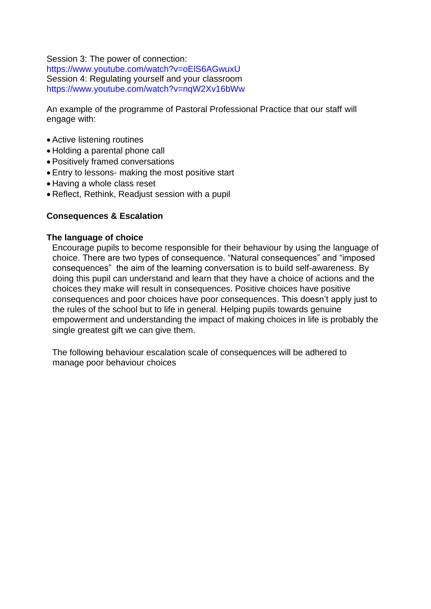Session 3: The power of connection:

https://www.youtube.com/watch?v=oElS6AGwuxU Session 4: Regulating yourself and your classroom https://www.youtube.com/watch?v=nqW2Xv16bWw

An example of the programme of Pastoral Professional Practice that our staff will engage with:

- Active listening routines
- Holding a parental phone call
- Positively framed conversations
- Entry to lessons- making the most positive start
- Having a whole class reset
- Reflect, Rethink, Readjust session with a pupil

#### **Consequences & Escalation**

#### **The language of choice**

Encourage pupils to become responsible for their behaviour by using the language of choice. There are two types of consequence. "Natural consequences" and "imposed consequences" the aim of the learning conversation is to build self-awareness. By doing this pupil can understand and learn that they have a choice of actions and the choices they make will result in consequences. Positive choices have positive consequences and poor choices have poor consequences. This doesn't apply just to the rules of the school but to life in general. Helping pupils towards genuine empowerment and understanding the impact of making choices in life is probably the single greatest gift we can give them.

The following behaviour escalation scale of consequences will be adhered to manage poor behaviour choices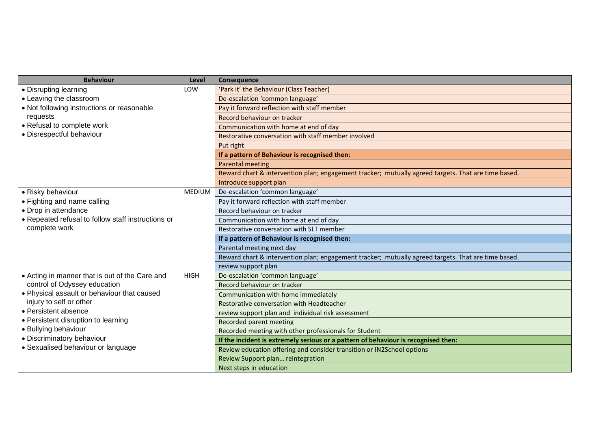| <b>Behaviour</b>                                   | Level         | Consequence                                                                                         |
|----------------------------------------------------|---------------|-----------------------------------------------------------------------------------------------------|
| • Disrupting learning                              | LOW           | 'Park it' the Behaviour (Class Teacher)                                                             |
| • Leaving the classroom                            |               | De-escalation 'common language'                                                                     |
| • Not following instructions or reasonable         |               | Pay it forward reflection with staff member                                                         |
| requests                                           |               | Record behaviour on tracker                                                                         |
| • Refusal to complete work                         |               | Communication with home at end of day                                                               |
| · Disrespectful behaviour                          |               | Restorative conversation with staff member involved                                                 |
|                                                    |               | Put right                                                                                           |
|                                                    |               | If a pattern of Behaviour is recognised then:                                                       |
|                                                    |               | <b>Parental meeting</b>                                                                             |
|                                                    |               | Reward chart & intervention plan; engagement tracker; mutually agreed targets. That are time based. |
|                                                    |               | Introduce support plan                                                                              |
| · Risky behaviour                                  | <b>MEDIUM</b> | De-escalation 'common language'                                                                     |
| • Fighting and name calling                        |               | Pay it forward reflection with staff member                                                         |
| • Drop in attendance                               |               | Record behaviour on tracker                                                                         |
| • Repeated refusal to follow staff instructions or |               | Communication with home at end of day                                                               |
| complete work                                      |               | Restorative conversation with SLT member                                                            |
|                                                    |               | If a pattern of Behaviour is recognised then:                                                       |
|                                                    |               | Parental meeting next day                                                                           |
|                                                    |               | Reward chart & intervention plan; engagement tracker; mutually agreed targets. That are time based. |
|                                                    |               | review support plan                                                                                 |
| • Acting in manner that is out of the Care and     | <b>HIGH</b>   | De-escalation 'common language'                                                                     |
| control of Odyssey education                       |               | Record behaviour on tracker                                                                         |
| . Physical assault or behaviour that caused        |               | Communication with home immediately                                                                 |
| injury to self or other                            |               | Restorative conversation with Headteacher                                                           |
| • Persistent absence                               |               | review support plan and individual risk assessment                                                  |
| • Persistent disruption to learning                |               | Recorded parent meeting                                                                             |
| · Bullying behaviour                               |               | Recorded meeting with other professionals for Student                                               |
| · Discriminatory behaviour                         |               | If the incident is extremely serious or a pattern of behaviour is recognised then:                  |
| • Sexualised behaviour or language                 |               | Review education offering and consider transition or IN2School options                              |
|                                                    |               | Review Support plan reintegration                                                                   |
|                                                    |               | Next steps in education                                                                             |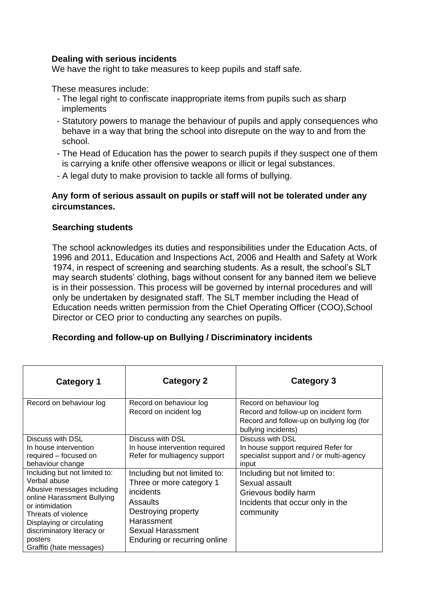#### **Dealing with serious incidents**

We have the right to take measures to keep pupils and staff safe.

These measures include:

- The legal right to confiscate inappropriate items from pupils such as sharp implements
- Statutory powers to manage the behaviour of pupils and apply consequences who behave in a way that bring the school into disrepute on the way to and from the school.
- The Head of Education has the power to search pupils if they suspect one of them is carrying a knife other offensive weapons or illicit or legal substances.
- A legal duty to make provision to tackle all forms of bullying.

#### **Any form of serious assault on pupils or staff will not be tolerated under any circumstances.**

#### **Searching students**

The school acknowledges its duties and responsibilities under the Education Acts, of 1996 and 2011, Education and Inspections Act, 2006 and Health and Safety at Work 1974, in respect of screening and searching students. As a result, the school's SLT may search students' clothing, bags without consent for any banned item we believe is in their possession. This process will be governed by internal procedures and will only be undertaken by designated staff. The SLT member including the Head of Education needs written permission from the Chief Operating Officer (COO),School Director or CEO prior to conducting any searches on pupils.

#### **Recording and follow-up on Bullying / Discriminatory incidents**

| <b>Category 1</b>                                                                                                                                                                                                                                     | <b>Category 2</b>                                                                                                                                                            | <b>Category 3</b>                                                                                                                    |
|-------------------------------------------------------------------------------------------------------------------------------------------------------------------------------------------------------------------------------------------------------|------------------------------------------------------------------------------------------------------------------------------------------------------------------------------|--------------------------------------------------------------------------------------------------------------------------------------|
| Record on behaviour log                                                                                                                                                                                                                               | Record on behaviour log<br>Record on incident log                                                                                                                            | Record on behaviour log<br>Record and follow-up on incident form<br>Record and follow-up on bullying log (for<br>bullying incidents) |
| Discuss with DSL<br>In house intervention<br>required – focused on<br>behaviour change                                                                                                                                                                | Discuss with DSL<br>In house intervention required<br>Refer for multiagency support                                                                                          | Discuss with DSL<br>In house support required Refer for<br>specialist support and / or multi-agency<br>input                         |
| Including but not limited to:<br>Verbal abuse<br>Abusive messages including<br>online Harassment Bullying<br>or intimidation<br>Threats of violence<br>Displaying or circulating<br>discriminatory literacy or<br>posters<br>Graffiti (hate messages) | Including but not limited to:<br>Three or more category 1<br>incidents<br>Assaults<br>Destroying property<br>Harassment<br>Sexual Harassment<br>Enduring or recurring online | Including but not limited to:<br>Sexual assault<br>Grievous bodily harm<br>Incidents that occur only in the<br>community             |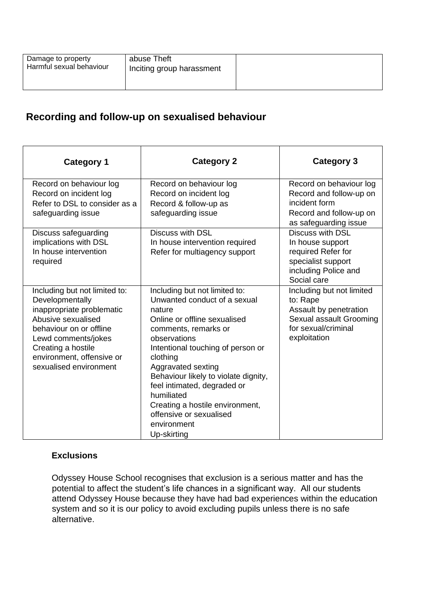| Damage to property<br>Harmful sexual behaviour | abuse Theft<br>Inciting group harassment |  |
|------------------------------------------------|------------------------------------------|--|
|------------------------------------------------|------------------------------------------|--|

# **Recording and follow-up on sexualised behaviour**

| <b>Category 1</b>                                                                                                                                                                                                                  | <b>Category 2</b>                                                                                                                                                                                                                                                                                                                                                                                       | <b>Category 3</b>                                                                                                                 |
|------------------------------------------------------------------------------------------------------------------------------------------------------------------------------------------------------------------------------------|---------------------------------------------------------------------------------------------------------------------------------------------------------------------------------------------------------------------------------------------------------------------------------------------------------------------------------------------------------------------------------------------------------|-----------------------------------------------------------------------------------------------------------------------------------|
| Record on behaviour log<br>Record on incident log<br>Refer to DSL to consider as a<br>safeguarding issue                                                                                                                           | Record on behaviour log<br>Record on incident log<br>Record & follow-up as<br>safeguarding issue                                                                                                                                                                                                                                                                                                        | Record on behaviour log<br>Record and follow-up on<br>incident form<br>Record and follow-up on<br>as safeguarding issue           |
| Discuss safeguarding<br>implications with DSL<br>In house intervention<br>required                                                                                                                                                 | <b>Discuss with DSL</b><br>In house intervention required<br>Refer for multiagency support                                                                                                                                                                                                                                                                                                              | <b>Discuss with DSL</b><br>In house support<br>required Refer for<br>specialist support<br>including Police and<br>Social care    |
| Including but not limited to:<br>Developmentally<br>inappropriate problematic<br>Abusive sexualised<br>behaviour on or offline<br>Lewd comments/jokes<br>Creating a hostile<br>environment, offensive or<br>sexualised environment | Including but not limited to:<br>Unwanted conduct of a sexual<br>nature<br>Online or offline sexualised<br>comments, remarks or<br>observations<br>Intentional touching of person or<br>clothing<br>Aggravated sexting<br>Behaviour likely to violate dignity,<br>feel intimated, degraded or<br>humiliated<br>Creating a hostile environment,<br>offensive or sexualised<br>environment<br>Up-skirting | Including but not limited<br>to: Rape<br>Assault by penetration<br>Sexual assault Grooming<br>for sexual/criminal<br>exploitation |

# **Exclusions**

Odyssey House School recognises that exclusion is a serious matter and has the potential to affect the student's life chances in a significant way. All our students attend Odyssey House because they have had bad experiences within the education system and so it is our policy to avoid excluding pupils unless there is no safe alternative.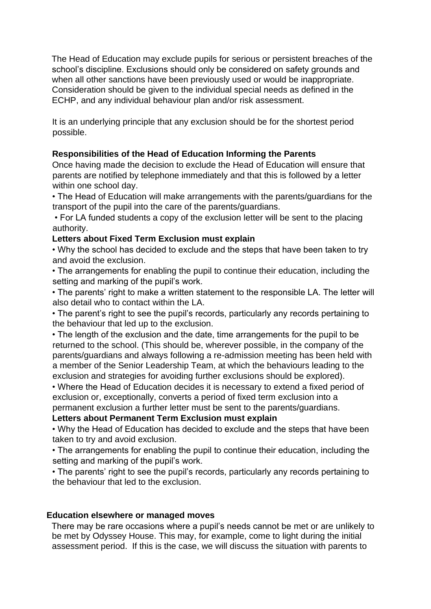The Head of Education may exclude pupils for serious or persistent breaches of the school's discipline. Exclusions should only be considered on safety grounds and when all other sanctions have been previously used or would be inappropriate. Consideration should be given to the individual special needs as defined in the ECHP, and any individual behaviour plan and/or risk assessment.

It is an underlying principle that any exclusion should be for the shortest period possible.

## **Responsibilities of the Head of Education Informing the Parents**

Once having made the decision to exclude the Head of Education will ensure that parents are notified by telephone immediately and that this is followed by a letter within one school day.

• The Head of Education will make arrangements with the parents/guardians for the transport of the pupil into the care of the parents/guardians.

• For LA funded students a copy of the exclusion letter will be sent to the placing authority.

#### **Letters about Fixed Term Exclusion must explain**

• Why the school has decided to exclude and the steps that have been taken to try and avoid the exclusion.

• The arrangements for enabling the pupil to continue their education, including the setting and marking of the pupil's work.

• The parents' right to make a written statement to the responsible LA. The letter will also detail who to contact within the LA.

• The parent's right to see the pupil's records, particularly any records pertaining to the behaviour that led up to the exclusion.

• The length of the exclusion and the date, time arrangements for the pupil to be returned to the school. (This should be, wherever possible, in the company of the parents/guardians and always following a re-admission meeting has been held with a member of the Senior Leadership Team, at which the behaviours leading to the exclusion and strategies for avoiding further exclusions should be explored).

• Where the Head of Education decides it is necessary to extend a fixed period of exclusion or, exceptionally, converts a period of fixed term exclusion into a permanent exclusion a further letter must be sent to the parents/guardians.

#### **Letters about Permanent Term Exclusion must explain**

• Why the Head of Education has decided to exclude and the steps that have been taken to try and avoid exclusion.

• The arrangements for enabling the pupil to continue their education, including the setting and marking of the pupil's work.

• The parents' right to see the pupil's records, particularly any records pertaining to the behaviour that led to the exclusion.

#### **Education elsewhere or managed moves**

There may be rare occasions where a pupil's needs cannot be met or are unlikely to be met by Odyssey House. This may, for example, come to light during the initial assessment period. If this is the case, we will discuss the situation with parents to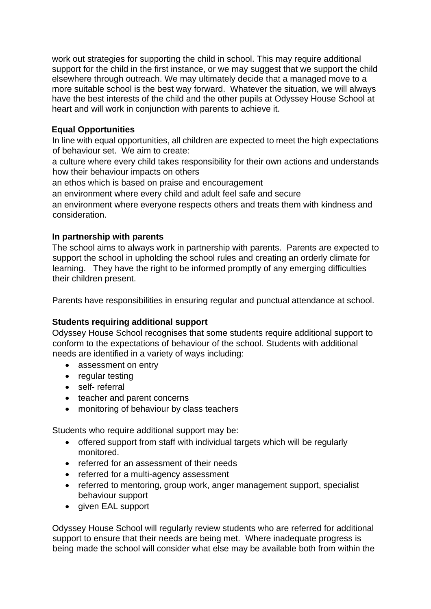work out strategies for supporting the child in school. This may require additional support for the child in the first instance, or we may suggest that we support the child elsewhere through outreach. We may ultimately decide that a managed move to a more suitable school is the best way forward. Whatever the situation, we will always have the best interests of the child and the other pupils at Odyssey House School at heart and will work in conjunction with parents to achieve it.

#### **Equal Opportunities**

In line with equal opportunities, all children are expected to meet the high expectations of behaviour set. We aim to create:

a culture where every child takes responsibility for their own actions and understands how their behaviour impacts on others

an ethos which is based on praise and encouragement

an environment where every child and adult feel safe and secure

an environment where everyone respects others and treats them with kindness and consideration.

#### **In partnership with parents**

The school aims to always work in partnership with parents. Parents are expected to support the school in upholding the school rules and creating an orderly climate for learning. They have the right to be informed promptly of any emerging difficulties their children present.

Parents have responsibilities in ensuring regular and punctual attendance at school.

# **Students requiring additional support**

Odyssey House School recognises that some students require additional support to conform to the expectations of behaviour of the school. Students with additional needs are identified in a variety of ways including:

- assessment on entry
- regular testing
- self- referral
- teacher and parent concerns
- monitoring of behaviour by class teachers

Students who require additional support may be:

- offered support from staff with individual targets which will be regularly monitored.
- referred for an assessment of their needs
- referred for a multi-agency assessment
- referred to mentoring, group work, anger management support, specialist behaviour support
- given EAL support

Odyssey House School will regularly review students who are referred for additional support to ensure that their needs are being met. Where inadequate progress is being made the school will consider what else may be available both from within the